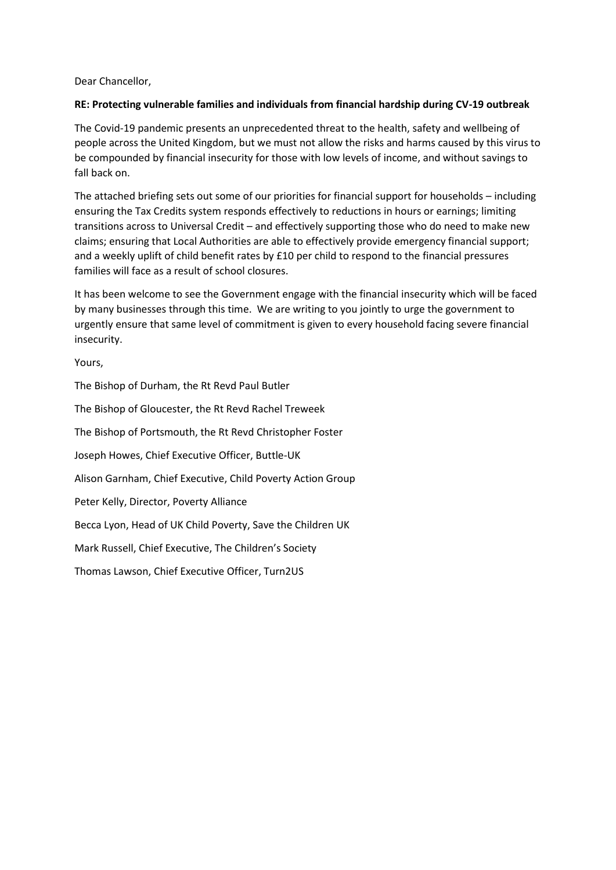Dear Chancellor,

### **RE: Protecting vulnerable families and individuals from financial hardship during CV-19 outbreak**

The Covid-19 pandemic presents an unprecedented threat to the health, safety and wellbeing of people across the United Kingdom, but we must not allow the risks and harms caused by this virus to be compounded by financial insecurity for those with low levels of income, and without savings to fall back on.

The attached briefing sets out some of our priorities for financial support for households – including ensuring the Tax Credits system responds effectively to reductions in hours or earnings; limiting transitions across to Universal Credit – and effectively supporting those who do need to make new claims; ensuring that Local Authorities are able to effectively provide emergency financial support; and a weekly uplift of child benefit rates by £10 per child to respond to the financial pressures families will face as a result of school closures.

It has been welcome to see the Government engage with the financial insecurity which will be faced by many businesses through this time. We are writing to you jointly to urge the government to urgently ensure that same level of commitment is given to every household facing severe financial insecurity.

Yours,

The Bishop of Durham, the Rt Revd Paul Butler The Bishop of Gloucester, the Rt Revd Rachel Treweek The Bishop of Portsmouth, the Rt Revd Christopher Foster Joseph Howes, Chief Executive Officer, Buttle-UK Alison Garnham, Chief Executive, Child Poverty Action Group Peter Kelly, Director, Poverty Alliance Becca Lyon, Head of UK Child Poverty, Save the Children UK Mark Russell, Chief Executive, The Children's Society Thomas Lawson, Chief Executive Officer, Turn2US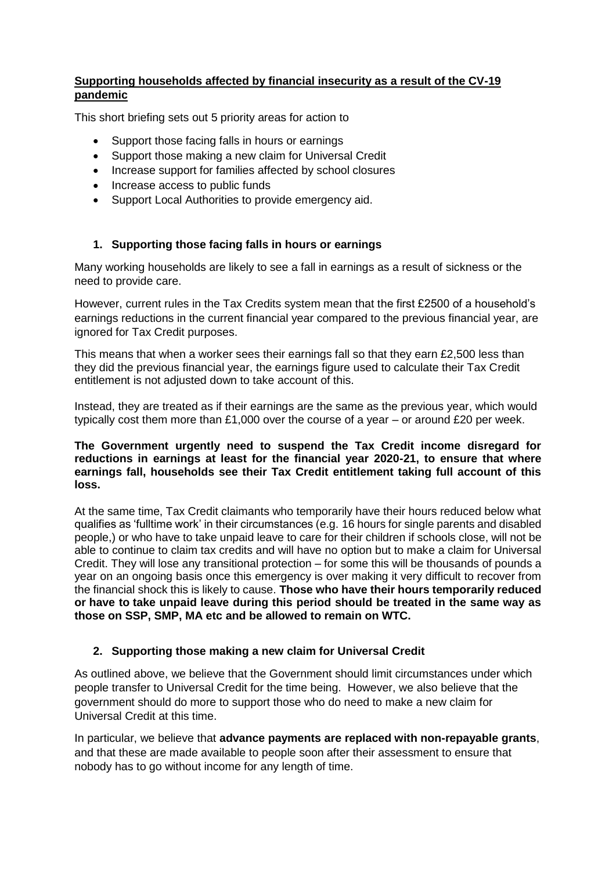### **Supporting households affected by financial insecurity as a result of the CV-19 pandemic**

This short briefing sets out 5 priority areas for action to

- Support those facing falls in hours or earnings
- Support those making a new claim for Universal Credit
- Increase support for families affected by school closures
- Increase access to public funds
- Support Local Authorities to provide emergency aid.

### **1. Supporting those facing falls in hours or earnings**

Many working households are likely to see a fall in earnings as a result of sickness or the need to provide care.

However, current rules in the Tax Credits system mean that the first £2500 of a household's earnings reductions in the current financial year compared to the previous financial year, are ignored for Tax Credit purposes.

This means that when a worker sees their earnings fall so that they earn £2,500 less than they did the previous financial year, the earnings figure used to calculate their Tax Credit entitlement is not adjusted down to take account of this.

Instead, they are treated as if their earnings are the same as the previous year, which would typically cost them more than £1,000 over the course of a year – or around £20 per week.

#### **The Government urgently need to suspend the Tax Credit income disregard for reductions in earnings at least for the financial year 2020-21, to ensure that where earnings fall, households see their Tax Credit entitlement taking full account of this loss.**

At the same time, Tax Credit claimants who temporarily have their hours reduced below what qualifies as 'fulltime work' in their circumstances (e.g. 16 hours for single parents and disabled people,) or who have to take unpaid leave to care for their children if schools close, will not be able to continue to claim tax credits and will have no option but to make a claim for Universal Credit. They will lose any transitional protection – for some this will be thousands of pounds a year on an ongoing basis once this emergency is over making it very difficult to recover from the financial shock this is likely to cause. **Those who have their hours temporarily reduced or have to take unpaid leave during this period should be treated in the same way as those on SSP, SMP, MA etc and be allowed to remain on WTC.**

### **2. Supporting those making a new claim for Universal Credit**

As outlined above, we believe that the Government should limit circumstances under which people transfer to Universal Credit for the time being. However, we also believe that the government should do more to support those who do need to make a new claim for Universal Credit at this time.

In particular, we believe that **advance payments are replaced with non-repayable grants**, and that these are made available to people soon after their assessment to ensure that nobody has to go without income for any length of time.